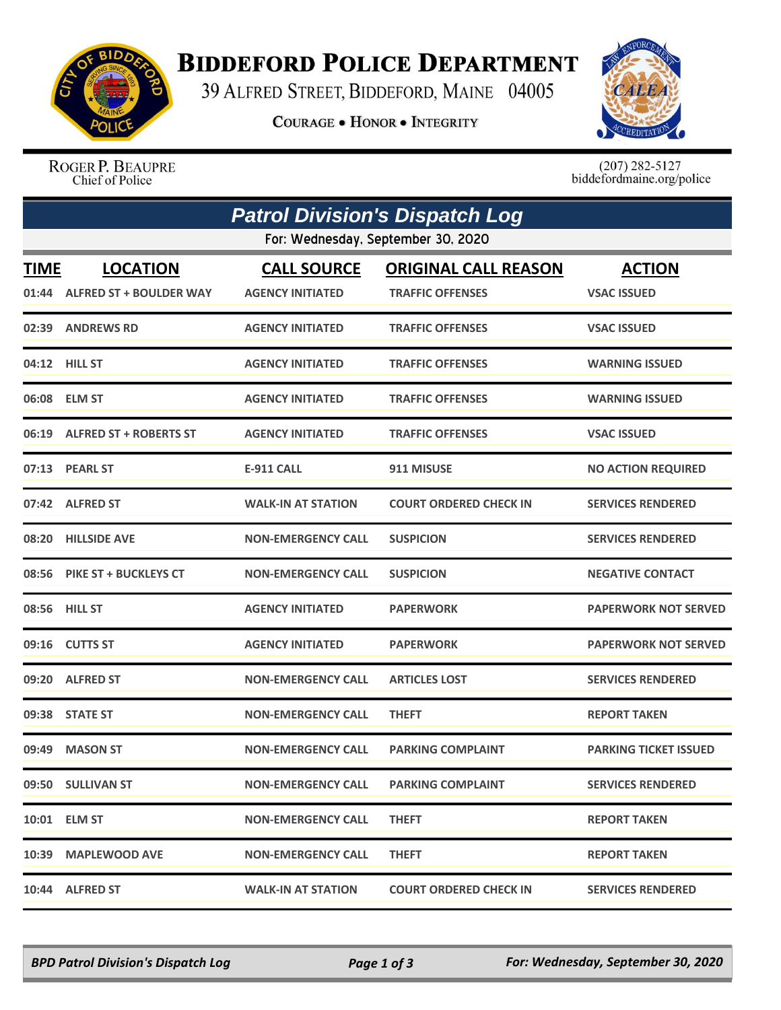

## **BIDDEFORD POLICE DEPARTMENT**

39 ALFRED STREET, BIDDEFORD, MAINE 04005

**COURAGE . HONOR . INTEGRITY** 



ROGER P. BEAUPRE Chief of Police

 $(207)$  282-5127<br>biddefordmaine.org/police

| <b>Patrol Division's Dispatch Log</b> |                                    |                           |                               |                              |  |  |  |  |
|---------------------------------------|------------------------------------|---------------------------|-------------------------------|------------------------------|--|--|--|--|
|                                       | For: Wednesday, September 30, 2020 |                           |                               |                              |  |  |  |  |
| <b>TIME</b>                           | <b>LOCATION</b>                    | <b>CALL SOURCE</b>        | <b>ORIGINAL CALL REASON</b>   | <b>ACTION</b>                |  |  |  |  |
|                                       | 01:44 ALFRED ST + BOULDER WAY      | <b>AGENCY INITIATED</b>   | <b>TRAFFIC OFFENSES</b>       | <b>VSAC ISSUED</b>           |  |  |  |  |
|                                       | 02:39 ANDREWS RD                   | <b>AGENCY INITIATED</b>   | <b>TRAFFIC OFFENSES</b>       | <b>VSAC ISSUED</b>           |  |  |  |  |
|                                       | 04:12 HILL ST                      | <b>AGENCY INITIATED</b>   | <b>TRAFFIC OFFENSES</b>       | <b>WARNING ISSUED</b>        |  |  |  |  |
|                                       | 06:08 ELM ST                       | <b>AGENCY INITIATED</b>   | <b>TRAFFIC OFFENSES</b>       | <b>WARNING ISSUED</b>        |  |  |  |  |
|                                       | 06:19 ALFRED ST + ROBERTS ST       | <b>AGENCY INITIATED</b>   | <b>TRAFFIC OFFENSES</b>       | <b>VSAC ISSUED</b>           |  |  |  |  |
|                                       | 07:13 PEARL ST                     | <b>E-911 CALL</b>         | 911 MISUSE                    | <b>NO ACTION REQUIRED</b>    |  |  |  |  |
|                                       | 07:42 ALFRED ST                    | <b>WALK-IN AT STATION</b> | <b>COURT ORDERED CHECK IN</b> | <b>SERVICES RENDERED</b>     |  |  |  |  |
|                                       | 08:20 HILLSIDE AVE                 | <b>NON-EMERGENCY CALL</b> | <b>SUSPICION</b>              | <b>SERVICES RENDERED</b>     |  |  |  |  |
|                                       | 08:56 PIKE ST + BUCKLEYS CT        | <b>NON-EMERGENCY CALL</b> | <b>SUSPICION</b>              | <b>NEGATIVE CONTACT</b>      |  |  |  |  |
|                                       | 08:56 HILL ST                      | <b>AGENCY INITIATED</b>   | <b>PAPERWORK</b>              | <b>PAPERWORK NOT SERVED</b>  |  |  |  |  |
|                                       | 09:16 CUTTS ST                     | <b>AGENCY INITIATED</b>   | <b>PAPERWORK</b>              | <b>PAPERWORK NOT SERVED</b>  |  |  |  |  |
|                                       | 09:20 ALFRED ST                    | <b>NON-EMERGENCY CALL</b> | <b>ARTICLES LOST</b>          | <b>SERVICES RENDERED</b>     |  |  |  |  |
|                                       | 09:38 STATE ST                     | <b>NON-EMERGENCY CALL</b> | <b>THEFT</b>                  | <b>REPORT TAKEN</b>          |  |  |  |  |
| 09:49                                 | <b>MASON ST</b>                    | <b>NON-EMERGENCY CALL</b> | <b>PARKING COMPLAINT</b>      | <b>PARKING TICKET ISSUED</b> |  |  |  |  |
|                                       | 09:50 SULLIVAN ST                  | <b>NON-EMERGENCY CALL</b> | <b>PARKING COMPLAINT</b>      | <b>SERVICES RENDERED</b>     |  |  |  |  |
|                                       | 10:01 ELM ST                       | <b>NON-EMERGENCY CALL</b> | <b>THEFT</b>                  | <b>REPORT TAKEN</b>          |  |  |  |  |
|                                       | 10:39 MAPLEWOOD AVE                | <b>NON-EMERGENCY CALL</b> | <b>THEFT</b>                  | <b>REPORT TAKEN</b>          |  |  |  |  |
|                                       | 10:44 ALFRED ST                    | <b>WALK-IN AT STATION</b> | <b>COURT ORDERED CHECK IN</b> | <b>SERVICES RENDERED</b>     |  |  |  |  |

*BPD Patrol Division's Dispatch Log Page 1 of 3 For: Wednesday, September 30, 2020*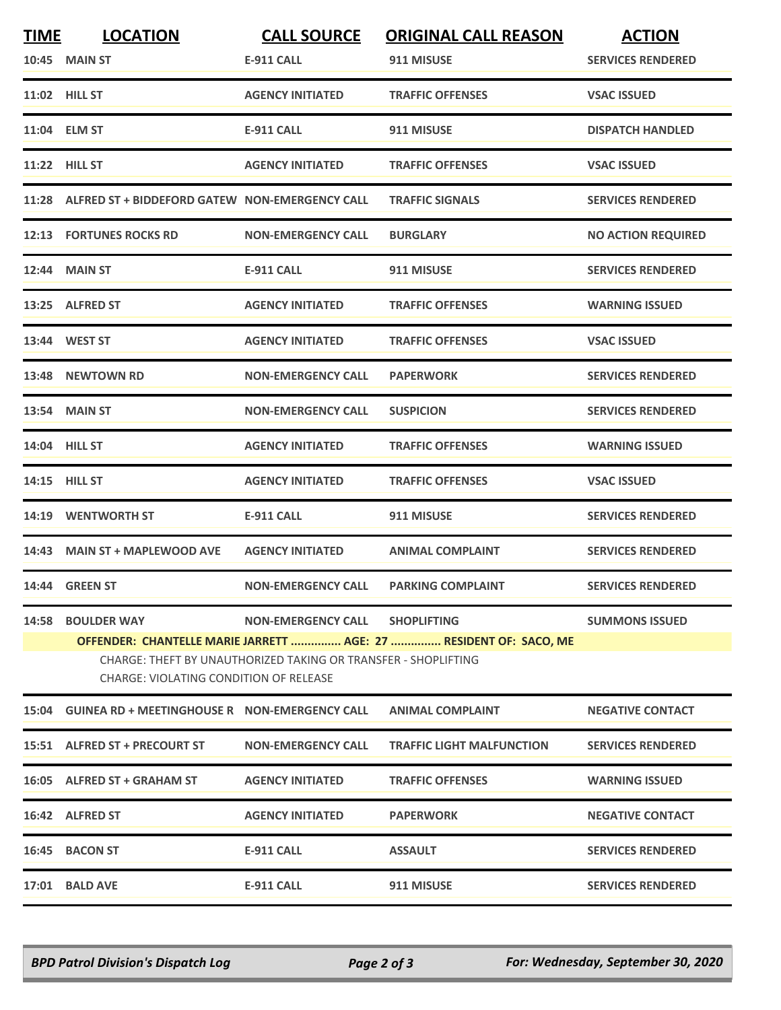| <b>TIME</b> | <b>LOCATION</b>                                                                                                                                                                                                                                                                 | <b>CALL SOURCE</b>        | <b>ORIGINAL CALL REASON</b>      | <b>ACTION</b>             |  |  |
|-------------|---------------------------------------------------------------------------------------------------------------------------------------------------------------------------------------------------------------------------------------------------------------------------------|---------------------------|----------------------------------|---------------------------|--|--|
|             | <b>10:45 MAIN ST</b>                                                                                                                                                                                                                                                            | <b>E-911 CALL</b>         | 911 MISUSE                       | <b>SERVICES RENDERED</b>  |  |  |
|             | 11:02 HILL ST                                                                                                                                                                                                                                                                   | <b>AGENCY INITIATED</b>   | <b>TRAFFIC OFFENSES</b>          | <b>VSAC ISSUED</b>        |  |  |
|             | 11:04 ELM ST                                                                                                                                                                                                                                                                    | <b>E-911 CALL</b>         | 911 MISUSE                       | <b>DISPATCH HANDLED</b>   |  |  |
|             | <b>11:22 HILL ST</b>                                                                                                                                                                                                                                                            | <b>AGENCY INITIATED</b>   | <b>TRAFFIC OFFENSES</b>          | <b>VSAC ISSUED</b>        |  |  |
|             | 11:28 ALFRED ST + BIDDEFORD GATEW NON-EMERGENCY CALL                                                                                                                                                                                                                            |                           | <b>TRAFFIC SIGNALS</b>           | <b>SERVICES RENDERED</b>  |  |  |
|             | 12:13 FORTUNES ROCKS RD                                                                                                                                                                                                                                                         | <b>NON-EMERGENCY CALL</b> | <b>BURGLARY</b>                  | <b>NO ACTION REQUIRED</b> |  |  |
|             | <b>12:44 MAIN ST</b>                                                                                                                                                                                                                                                            | <b>E-911 CALL</b>         | 911 MISUSE                       | <b>SERVICES RENDERED</b>  |  |  |
|             | 13:25 ALFRED ST                                                                                                                                                                                                                                                                 | <b>AGENCY INITIATED</b>   | <b>TRAFFIC OFFENSES</b>          | <b>WARNING ISSUED</b>     |  |  |
|             | 13:44 WEST ST                                                                                                                                                                                                                                                                   | <b>AGENCY INITIATED</b>   | <b>TRAFFIC OFFENSES</b>          | <b>VSAC ISSUED</b>        |  |  |
|             | 13:48 NEWTOWN RD                                                                                                                                                                                                                                                                | <b>NON-EMERGENCY CALL</b> | <b>PAPERWORK</b>                 | <b>SERVICES RENDERED</b>  |  |  |
|             | <b>13:54 MAIN ST</b>                                                                                                                                                                                                                                                            | <b>NON-EMERGENCY CALL</b> | <b>SUSPICION</b>                 | <b>SERVICES RENDERED</b>  |  |  |
|             | 14:04 HILL ST                                                                                                                                                                                                                                                                   | <b>AGENCY INITIATED</b>   | <b>TRAFFIC OFFENSES</b>          | <b>WARNING ISSUED</b>     |  |  |
|             | 14:15 HILL ST                                                                                                                                                                                                                                                                   | <b>AGENCY INITIATED</b>   | <b>TRAFFIC OFFENSES</b>          | <b>VSAC ISSUED</b>        |  |  |
|             | 14:19 WENTWORTH ST                                                                                                                                                                                                                                                              | <b>E-911 CALL</b>         | 911 MISUSE                       | <b>SERVICES RENDERED</b>  |  |  |
|             | 14:43 MAIN ST + MAPLEWOOD AVE                                                                                                                                                                                                                                                   | <b>AGENCY INITIATED</b>   | <b>ANIMAL COMPLAINT</b>          | <b>SERVICES RENDERED</b>  |  |  |
|             | 14:44 GREEN ST                                                                                                                                                                                                                                                                  | <b>NON-EMERGENCY CALL</b> | <b>PARKING COMPLAINT</b>         | <b>SERVICES RENDERED</b>  |  |  |
| 14:58       | <b>BOULDER WAY</b><br><b>NON-EMERGENCY CALL</b><br><b>SHOPLIFTING</b><br><b>SUMMONS ISSUED</b><br>OFFENDER: CHANTELLE MARIE JARRETT  AGE: 27  RESIDENT OF: SACO, ME<br>CHARGE: THEFT BY UNAUTHORIZED TAKING OR TRANSFER - SHOPLIFTING<br>CHARGE: VIOLATING CONDITION OF RELEASE |                           |                                  |                           |  |  |
|             | 15:04 GUINEA RD + MEETINGHOUSE R NON-EMERGENCY CALL                                                                                                                                                                                                                             |                           | <b>ANIMAL COMPLAINT</b>          | <b>NEGATIVE CONTACT</b>   |  |  |
|             | 15:51 ALFRED ST + PRECOURT ST                                                                                                                                                                                                                                                   | <b>NON-EMERGENCY CALL</b> | <b>TRAFFIC LIGHT MALFUNCTION</b> | <b>SERVICES RENDERED</b>  |  |  |
|             | 16:05 ALFRED ST + GRAHAM ST                                                                                                                                                                                                                                                     | <b>AGENCY INITIATED</b>   | <b>TRAFFIC OFFENSES</b>          | <b>WARNING ISSUED</b>     |  |  |
|             | 16:42 ALFRED ST                                                                                                                                                                                                                                                                 | <b>AGENCY INITIATED</b>   | <b>PAPERWORK</b>                 | <b>NEGATIVE CONTACT</b>   |  |  |
|             | 16:45 BACON ST                                                                                                                                                                                                                                                                  | <b>E-911 CALL</b>         | <b>ASSAULT</b>                   | <b>SERVICES RENDERED</b>  |  |  |
|             | 17:01 BALD AVE                                                                                                                                                                                                                                                                  | <b>E-911 CALL</b>         | 911 MISUSE                       | <b>SERVICES RENDERED</b>  |  |  |
|             |                                                                                                                                                                                                                                                                                 |                           |                                  |                           |  |  |